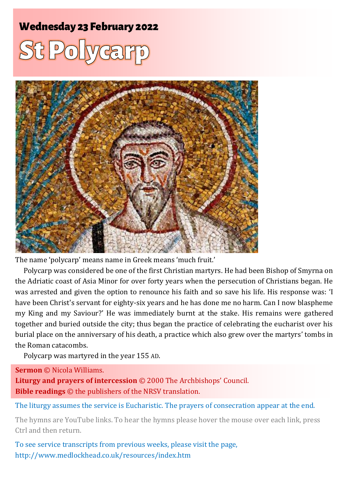# **Wednesday 23 February 2022**





The name 'polycarp' means name in Greek means 'much fruit.'

Polycarp was considered be one of the first Christian martyrs. He had been Bishop of Smyrna on the Adriatic coast of Asia Minor for over forty years when the persecution of Christians began. He was arrested and given the option to renounce his faith and so save his life. His response was: 'I have been Christ's servant for eighty-six years and he has done me no harm. Can I now blaspheme my King and my Saviour?' He was immediately burnt at the stake. His remains were gathered together and buried outside the city; thus began the practice of celebrating the eucharist over his burial place on the anniversary of his death, a practice which also grew over the martyrs' tombs in the Roman catacombs.

Polycarp was martyred in the year 155 AD.

**Sermon** © Nicola Williams.

**Liturgy and prayers of intercession** © 2000 The Archbishops' Council. **Bible readings** © the publishers of the NRSV translation.

The liturgy assumes the service is Eucharistic. The prayers of consecration appear at the end.

The hymns are YouTube links. To hear the hymns please hover the mouse over each link, press Ctrl and then return.

To see service transcripts from previous weeks, please visit the page, <http://www.medlockhead.co.uk/resources/index.htm>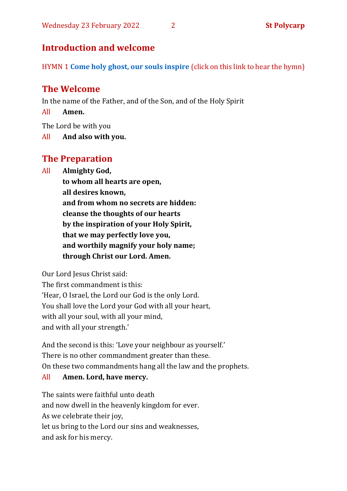# **Introduction and welcome**

HYMN 1 **[Come holy ghost, our souls inspire](https://www.youtube.com/watch?v=kmRbc9cf-dw)** (click on this link to hear the hymn)

# **The Welcome**

In the name of the Father, and of the Son, and of the Holy Spirit

All **Amen.**

The Lord be with you

All **And also with you.**

## **The Preparation**

All **Almighty God,**

**to whom all hearts are open, all desires known, and from whom no secrets are hidden: cleanse the thoughts of our hearts by the inspiration of your Holy Spirit, that we may perfectly love you, and worthily magnify your holy name; through Christ our Lord. Amen.**

Our Lord Jesus Christ said:

The first commandment is this: 'Hear, O Israel, the Lord our God is the only Lord. You shall love the Lord your God with all your heart, with all your soul, with all your mind, and with all your strength.'

And the second is this: 'Love your neighbour as yourself.' There is no other commandment greater than these. On these two commandments hang all the law and the prophets.

#### All **Amen. Lord, have mercy.**

The saints were faithful unto death and now dwell in the heavenly kingdom for ever. As we celebrate their joy, let us bring to the Lord our sins and weaknesses, and ask for his mercy.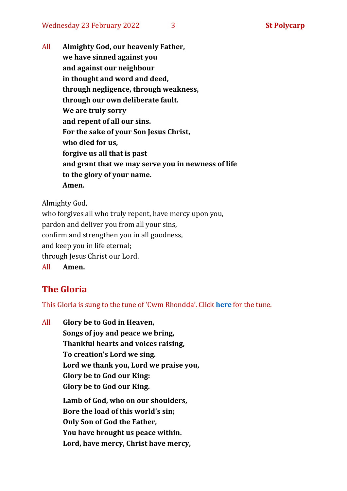All **Almighty God, our heavenly Father, we have sinned against you and against our neighbour in thought and word and deed, through negligence, through weakness, through our own deliberate fault. We are truly sorry and repent of all our sins. For the sake of your Son Jesus Christ, who died for us, forgive us all that is past and grant that we may serve you in newness of life to the glory of your name. Amen.**

Almighty God,

who forgives all who truly repent, have mercy upon you, pardon and deliver you from all your sins, confirm and strengthen you in all goodness, and keep you in life eternal; through Jesus Christ our Lord. All **Amen.**

# **The Gloria**

This Gloria is sung to the tune of 'Cwm Rhondda'. Click **[here](https://www.youtube.com/watch?v=l71MLQ22dIk)** for the tune.

All **Glory be to God in Heaven, Songs of joy and peace we bring, Thankful hearts and voices raising, To creation's Lord we sing. Lord we thank you, Lord we praise you, Glory be to God our King: Glory be to God our King. Lamb of God, who on our shoulders, Bore the load of this world's sin; Only Son of God the Father, You have brought us peace within. Lord, have mercy, Christ have mercy,**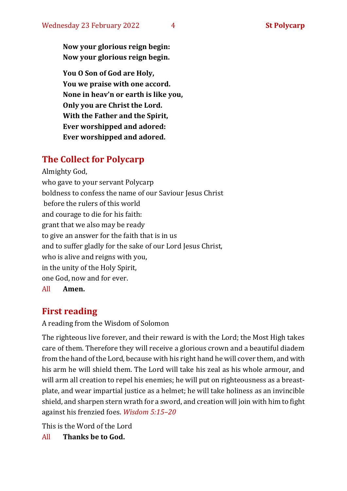**Now your glorious reign begin: Now your glorious reign begin.**

**You O Son of God are Holy, You we praise with one accord. None in heav'n or earth is like you, Only you are Christ the Lord. With the Father and the Spirit, Ever worshipped and adored: Ever worshipped and adored.**

# **The Collect for Polycarp**

Almighty God, who gave to your servant Polycarp boldness to confess the name of our Saviour Jesus Christ before the rulers of this world and courage to die for his faith: grant that we also may be ready to give an answer for the faith that is in us and to suffer gladly for the sake of our Lord Jesus Christ, who is alive and reigns with you, in the unity of the Holy Spirit, one God, now and for ever.

All **Amen.**

# **First reading**

A reading from the Wisdom of Solomon

The righteous live forever, and their reward is with the Lord; the Most High takes care of them. Therefore they will receive a glorious crown and a beautiful diadem from the hand of the Lord, because with his right hand he will cover them, and with his arm he will shield them. The Lord will take his zeal as his whole armour, and will arm all creation to repel his enemies; he will put on righteousness as a breastplate, and wear impartial justice as a helmet; he will take holiness as an invincible shield, and sharpen stern wrath for a sword, and creation will join with him to fight against his frenzied foes. *Wisdom 5:15–20*

This is the Word of the Lord All **Thanks be to God.**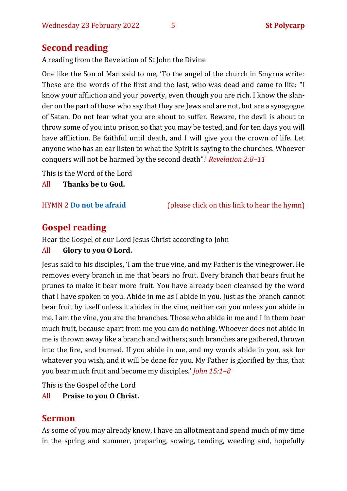# **Second reading**

A reading from the Revelation of St John the Divine

One like the Son of Man said to me, 'To the angel of the church in Smyrna write: These are the words of the first and the last, who was dead and came to life: "I know your affliction and your poverty, even though you are rich. I know the slander on the part of those who say that they are Jews and are not, but are a synagogue of Satan. Do not fear what you are about to suffer. Beware, the devil is about to throw some of you into prison so that you may be tested, and for ten days you will have affliction. Be faithful until death, and I will give you the crown of life. Let anyone who has an ear listen to what the Spirit is saying to the churches. Whoever conquers will not be harmed by the second death".' *Revelation 2:8–11*

This is the Word of the Lord

All **Thanks be to God.**

HYMN 2 **[Do not be afraid](https://www.youtube.com/watch?v=v2rO0LhSWJ0)** (please click on this link to hear the hymn)

# **Gospel reading**

Hear the Gospel of our Lord Jesus Christ according to John

#### All **Glory to you O Lord.**

Jesus said to his disciples, 'I am the true vine, and my Father is the vinegrower. He removes every branch in me that bears no fruit. Every branch that bears fruit he prunes to make it bear more fruit. You have already been cleansed by the word that I have spoken to you. Abide in me as I abide in you. Just as the branch cannot bear fruit by itself unless it abides in the vine, neither can you unless you abide in me. I am the vine, you are the branches. Those who abide in me and I in them bear much fruit, because apart from me you can do nothing. Whoever does not abide in me is thrown away like a branch and withers; such branches are gathered, thrown into the fire, and burned. If you abide in me, and my words abide in you, ask for whatever you wish, and it will be done for you. My Father is glorified by this, that you bear much fruit and become my disciples.' *John 15:1–8*

This is the Gospel of the Lord

#### All **Praise to you O Christ.**

# **Sermon**

As some of you may already know, I have an allotment and spend much of my time in the spring and summer, preparing, sowing, tending, weeding and, hopefully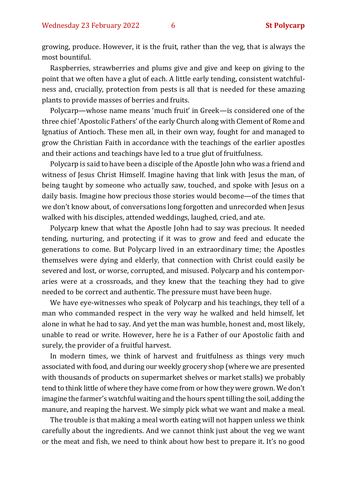growing, produce. However, it is the fruit, rather than the veg, that is always the most bountiful.

Raspberries, strawberries and plums give and give and keep on giving to the point that we often have a glut of each. A little early tending, consistent watchfulness and, crucially, protection from pests is all that is needed for these amazing plants to provide masses of berries and fruits.

Polycarp—whose name means 'much fruit' in Greek—is considered one of the three chief 'Apostolic Fathers' of the early Church along with Clement of Rome and Ignatius of Antioch. These men all, in their own way, fought for and managed to grow the Christian Faith in accordance with the teachings of the earlier apostles and their actions and teachings have led to a true glut of fruitfulness.

Polycarp is said to have been a disciple of the Apostle John who was a friend and witness of Jesus Christ Himself. Imagine having that link with Jesus the man, of being taught by someone who actually saw, touched, and spoke with Jesus on a daily basis. Imagine how precious those stories would become—of the times that we don't know about, of conversations long forgotten and unrecorded when Jesus walked with his disciples, attended weddings, laughed, cried, and ate.

Polycarp knew that what the Apostle John had to say was precious. It needed tending, nurturing, and protecting if it was to grow and feed and educate the generations to come. But Polycarp lived in an extraordinary time; the Apostles themselves were dying and elderly, that connection with Christ could easily be severed and lost, or worse, corrupted, and misused. Polycarp and his contemporaries were at a crossroads, and they knew that the teaching they had to give needed to be correct and authentic. The pressure must have been huge.

We have eye-witnesses who speak of Polycarp and his teachings, they tell of a man who commanded respect in the very way he walked and held himself, let alone in what he had to say. And yet the man was humble, honest and, most likely, unable to read or write. However, here he is a Father of our Apostolic faith and surely, the provider of a fruitful harvest.

In modern times, we think of harvest and fruitfulness as things very much associated with food, and during our weekly grocery shop (where we are presented with thousands of products on supermarket shelves or market stalls) we probably tend to think little of where they have come from or how they were grown. We don't imagine the farmer's watchful waiting and the hours spent tilling the soil, adding the manure, and reaping the harvest. We simply pick what we want and make a meal.

The trouble is that making a meal worth eating will not happen unless we think carefully about the ingredients. And we cannot think just about the veg we want or the meat and fish, we need to think about how best to prepare it. It's no good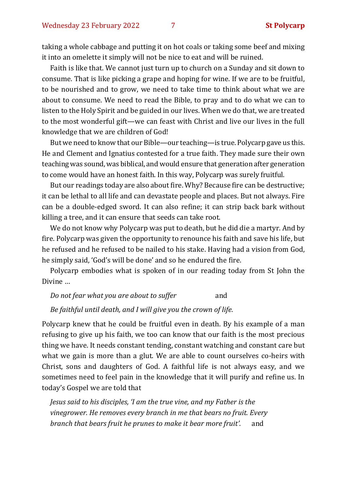taking a whole cabbage and putting it on hot coals or taking some beef and mixing it into an omelette it simply will not be nice to eat and will be ruined.

Faith is like that. We cannot just turn up to church on a Sunday and sit down to consume. That is like picking a grape and hoping for wine. If we are to be fruitful, to be nourished and to grow, we need to take time to think about what we are about to consume. We need to read the Bible, to pray and to do what we can to listen to the Holy Spirit and be guided in our lives. When we do that, we are treated to the most wonderful gift—we can feast with Christ and live our lives in the full knowledge that we are children of God!

But we need to know that our Bible—our teaching—is true. Polycarp gave us this. He and Clement and Ignatius contested for a true faith. They made sure their own teaching was sound, was biblical, and would ensure that generation after generation to come would have an honest faith. In this way, Polycarp was surely fruitful.

But our readings today are also about fire. Why? Because fire can be destructive; it can be lethal to all life and can devastate people and places. But not always. Fire can be a double-edged sword. It can also refine; it can strip back bark without killing a tree, and it can ensure that seeds can take root.

We do not know why Polycarp was put to death, but he did die a martyr. And by fire. Polycarp was given the opportunity to renounce his faith and save his life, but he refused and he refused to be nailed to his stake. Having had a vision from God, he simply said, 'God's will be done' and so he endured the fire.

Polycarp embodies what is spoken of in our reading today from St John the Divine …

*Do not fear what you are about to suffer* and

*Be faithful until death, and I will give you the crown of life.*

Polycarp knew that he could be fruitful even in death. By his example of a man refusing to give up his faith, we too can know that our faith is the most precious thing we have. It needs constant tending, constant watching and constant care but what we gain is more than a glut. We are able to count ourselves co-heirs with Christ, sons and daughters of God. A faithful life is not always easy, and we sometimes need to feel pain in the knowledge that it will purify and refine us. In today's Gospel we are told that

*Jesus said to his disciples, 'I am the true vine, and my Father is the vinegrower. He removes every branch in me that bears no fruit. Every branch that bears fruit he prunes to make it bear more fruit'.* and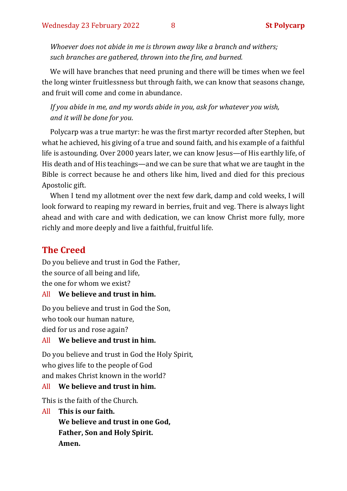*Whoever does not abide in me is thrown away like a branch and withers; such branches are gathered, thrown into the fire, and burned.*

We will have branches that need pruning and there will be times when we feel the long winter fruitlessness but through faith, we can know that seasons change, and fruit will come and come in abundance.

*If you abide in me, and my words abide in you, ask for whatever you wish, and it will be done for you*.

Polycarp was a true martyr: he was the first martyr recorded after Stephen, but what he achieved, his giving of a true and sound faith, and his example of a faithful life is astounding. Over 2000 years later, we can know Jesus—of His earthly life, of His death and of His teachings—and we can be sure that what we are taught in the Bible is correct because he and others like him, lived and died for this precious Apostolic gift.

When I tend my allotment over the next few dark, damp and cold weeks, I will look forward to reaping my reward in berries, fruit and veg. There is always light ahead and with care and with dedication, we can know Christ more fully, more richly and more deeply and live a faithful, fruitful life.

### **The Creed**

Do you believe and trust in God the Father, the source of all being and life, the one for whom we exist?

#### All **We believe and trust in him.**

Do you believe and trust in God the Son,

who took our human nature,

died for us and rose again?

#### All **We believe and trust in him.**

Do you believe and trust in God the Holy Spirit, who gives life to the people of God and makes Christ known in the world?

#### All **We believe and trust in him.**

This is the faith of the Church.

All **This is our faith.**

**We believe and trust in one God, Father, Son and Holy Spirit. Amen.**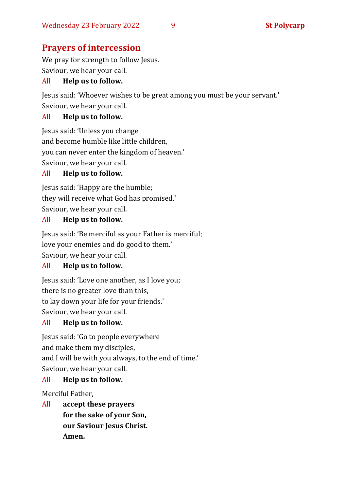# **Prayers of intercession**

We pray for strength to follow Jesus. Saviour, we hear your call.

#### All **Help us to follow.**

Jesus said: 'Whoever wishes to be great among you must be your servant.' Saviour, we hear your call.

#### All **Help us to follow.**

Jesus said: 'Unless you change and become humble like little children, you can never enter the kingdom of heaven.' Saviour, we hear your call.

#### All **Help us to follow.**

Jesus said: 'Happy are the humble; they will receive what God has promised.' Saviour, we hear your call.

#### All **Help us to follow.**

Jesus said: 'Be merciful as your Father is merciful; love your enemies and do good to them.' Saviour, we hear your call.

#### All **Help us to follow.**

Jesus said: 'Love one another, as I love you; there is no greater love than this, to lay down your life for your friends.' Saviour, we hear your call.

#### All **Help us to follow.**

Jesus said: 'Go to people everywhere and make them my disciples, and I will be with you always, to the end of time.' Saviour, we hear your call.

#### All **Help us to follow.**

Merciful Father,

All **accept these prayers for the sake of your Son, our Saviour Jesus Christ. Amen.**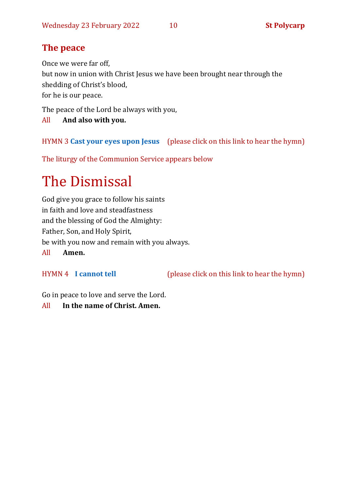# **The peace**

Once we were far off,

but now in union with Christ Jesus we have been brought near through the shedding of Christ's blood,

for he is our peace.

The peace of the Lord be always with you,

All **And also with you.**

HYMN 3 **[Cast your eyes upon Jesus](https://www.youtube.com/watch?v=eg4emf9xc2c)** (please click on this link to hear the hymn)

The liturgy of the Communion Service appears below

# The Dismissal

God give you grace to follow his saints in faith and love and steadfastness and the blessing of God the Almighty: Father, Son, and Holy Spirit, be with you now and remain with you always.

All **Amen.**

HYMN 4 **[I cannot tell](https://www.youtube.com/watch?v=62wk5KvI7-w)** (please click on this link to hear the hymn)

Go in peace to love and serve the Lord.

All **In the name of Christ. Amen.**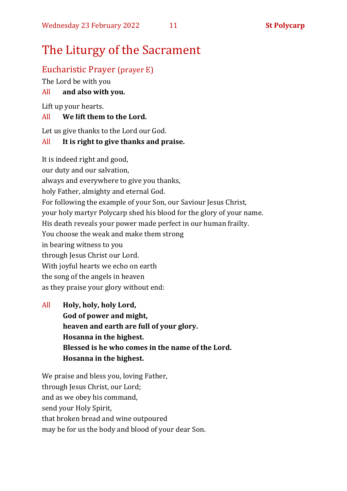# The Liturgy of the Sacrament

## Eucharistic Prayer (prayer E)

The Lord be with you

#### All **and also with you.**

Lift up your hearts.

#### All **We lift them to the Lord.**

Let us give thanks to the Lord our God.

#### All **It is right to give thanks and praise.**

It is indeed right and good, our duty and our salvation, always and everywhere to give you thanks, holy Father, almighty and eternal God. For following the example of your Son, our Saviour Jesus Christ, your holy martyr Polycarp shed his blood for the glory of your name. His death reveals your power made perfect in our human frailty. You choose the weak and make them strong in bearing witness to you through Jesus Christ our Lord. With joyful hearts we echo on earth the song of the angels in heaven as they praise your glory without end:

All **Holy, holy, holy Lord, God of power and might, heaven and earth are full of your glory. Hosanna in the highest. Blessed is he who comes in the name of the Lord. Hosanna in the highest.**

We praise and bless you, loving Father, through Jesus Christ, our Lord; and as we obey his command, send your Holy Spirit, that broken bread and wine outpoured may be for us the body and blood of your dear Son.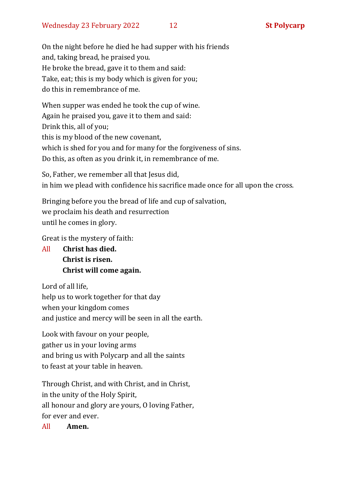On the night before he died he had supper with his friends and, taking bread, he praised you. He broke the bread, gave it to them and said: Take, eat; this is my body which is given for you; do this in remembrance of me.

When supper was ended he took the cup of wine. Again he praised you, gave it to them and said: Drink this, all of you; this is my blood of the new covenant, which is shed for you and for many for the forgiveness of sins. Do this, as often as you drink it, in remembrance of me.

So, Father, we remember all that Jesus did, in him we plead with confidence his sacrifice made once for all upon the cross.

Bringing before you the bread of life and cup of salvation, we proclaim his death and resurrection until he comes in glory.

Great is the mystery of faith:

All **Christ has died. Christ is risen. Christ will come again.**

Lord of all life, help us to work together for that day when your kingdom comes and justice and mercy will be seen in all the earth.

Look with favour on your people, gather us in your loving arms and bring us with Polycarp and all the saints to feast at your table in heaven.

Through Christ, and with Christ, and in Christ, in the unity of the Holy Spirit, all honour and glory are yours, O loving Father, for ever and ever.

All **Amen.**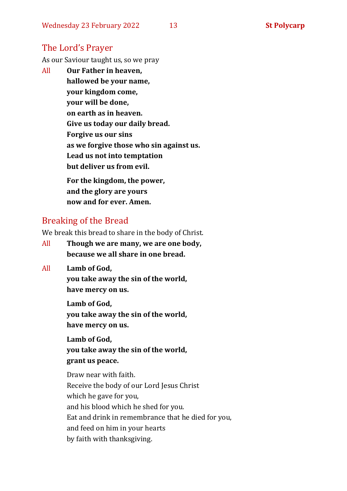#### The Lord's Prayer

As our Saviour taught us, so we pray

All **Our Father in heaven, hallowed be your name, your kingdom come, your will be done, on earth as in heaven. Give us today our daily bread. Forgive us our sins as we forgive those who sin against us. Lead us not into temptation but deliver us from evil. For the kingdom, the power,** 

**and the glory are yours now and for ever. Amen.**

#### Breaking of the Bread

We break this bread to share in the body of Christ.

- All **Though we are many, we are one body, because we all share in one bread.**
- All **Lamb of God,**

**you take away the sin of the world, have mercy on us.**

**Lamb of God, you take away the sin of the world, have mercy on us.**

**Lamb of God, you take away the sin of the world, grant us peace.**

Draw near with faith. Receive the body of our Lord Jesus Christ which he gave for you, and his blood which he shed for you. Eat and drink in remembrance that he died for you, and feed on him in your hearts by faith with thanksgiving.